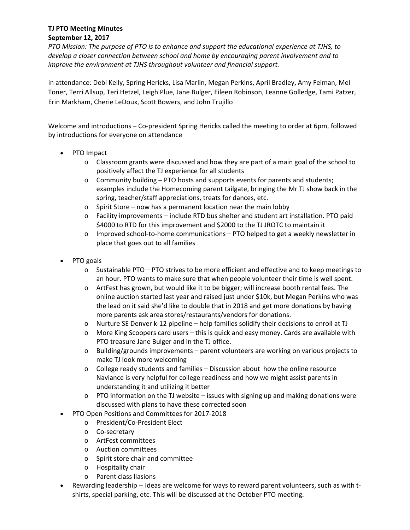## **TJ PTO Meeting Minutes September 12, 2017**

*PTO Mission: The purpose of PTO is to enhance and support the educational experience at TJHS, to develop a closer connection between school and home by encouraging parent involvement and to improve the environment at TJHS throughout volunteer and financial support.*

In attendance: Debi Kelly, Spring Hericks, Lisa Marlin, Megan Perkins, April Bradley, Amy Feiman, Mel Toner, Terri Allsup, Teri Hetzel, Leigh Plue, Jane Bulger, Eileen Robinson, Leanne Golledge, Tami Patzer, Erin Markham, Cherie LeDoux, Scott Bowers, and John Trujillo

Welcome and introductions – Co-president Spring Hericks called the meeting to order at 6pm, followed by introductions for everyone on attendance

- PTO Impact
	- o Classroom grants were discussed and how they are part of a main goal of the school to positively affect the TJ experience for all students
	- o Community building PTO hosts and supports events for parents and students; examples include the Homecoming parent tailgate, bringing the Mr TJ show back in the spring, teacher/staff appreciations, treats for dances, etc.
	- o Spirit Store now has a permanent location near the main lobby
	- o Facility improvements include RTD bus shelter and student art installation. PTO paid \$4000 to RTD for this improvement and \$2000 to the TJ JROTC to maintain it
	- o Improved school‐to‐home communications PTO helped to get a weekly newsletter in place that goes out to all families
- PTO goals
	- o Sustainable PTO PTO strives to be more efficient and effective and to keep meetings to an hour. PTO wants to make sure that when people volunteer their time is well spent.
	- o ArtFest has grown, but would like it to be bigger; will increase booth rental fees. The online auction started last year and raised just under \$10k, but Megan Perkins who was the lead on it said she'd like to double that in 2018 and get more donations by having more parents ask area stores/restaurants/vendors for donations.
	- o Nurture SE Denver k‐12 pipeline help families solidify their decisions to enroll at TJ
	- o More King Scoopers card users this is quick and easy money. Cards are available with PTO treasure Jane Bulger and in the TJ office.
	- o Building/grounds improvements parent volunteers are working on various projects to make TJ look more welcoming
	- $\circ$  College ready students and families Discussion about how the online resource Naviance is very helpful for college readiness and how we might assist parents in understanding it and utilizing it better
	- $\circ$  PTO information on the TJ website issues with signing up and making donations were discussed with plans to have these corrected soon
- PTO Open Positions and Committees for 2017‐2018
	- o President/Co‐President Elect
	- o Co‐secretary
	- o ArtFest committees
	- o Auction committees
	- o Spirit store chair and committee
	- o Hospitality chair
	- o Parent class liasions
- Rewarding leadership -- Ideas are welcome for ways to reward parent volunteers, such as with tshirts, special parking, etc. This will be discussed at the October PTO meeting.